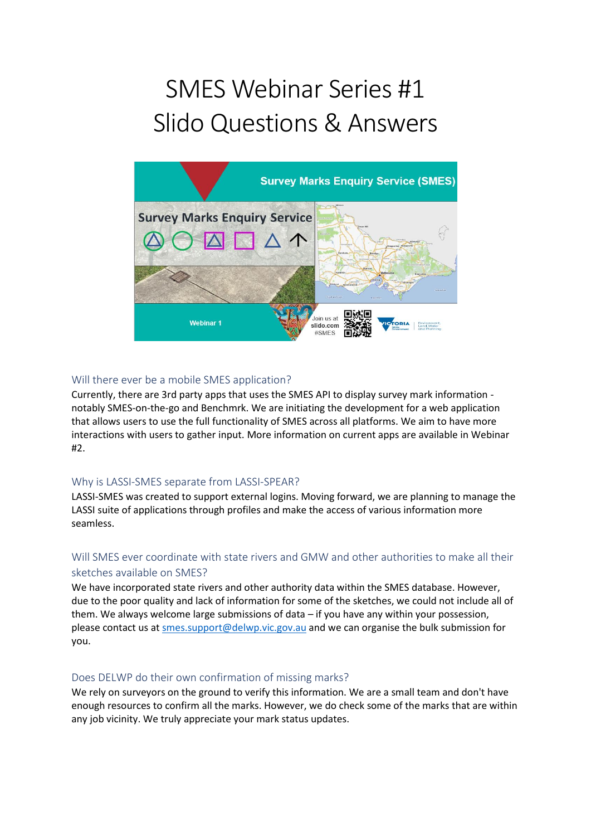# SMES Webinar Series #1 Slido Questions & Answers



## Will there ever be a mobile SMES application?

Currently, there are 3rd party apps that uses the SMES API to display survey mark information notably SMES-on-the-go and Benchmrk. We are initiating the development for a web application that allows users to use the full functionality of SMES across all platforms. We aim to have more interactions with users to gather input. More information on current apps are available in Webinar #2.

## Why is LASSI-SMES separate from LASSI-SPEAR?

LASSI-SMES was created to support external logins. Moving forward, we are planning to manage the LASSI suite of applications through profiles and make the access of various information more seamless.

## Will SMES ever coordinate with state rivers and GMW and other authorities to make all their sketches available on SMES?

We have incorporated state rivers and other authority data within the SMES database. However, due to the poor quality and lack of information for some of the sketches, we could not include all of them. We always welcome large submissions of data – if you have any within your possession, please contact us at [smes.support@delwp.vic.gov.au](mailto:smes.support@delwp.vic.gov.au) and we can organise the bulk submission for you.

## Does DELWP do their own confirmation of missing marks?

We rely on surveyors on the ground to verify this information. We are a small team and don't have enough resources to confirm all the marks. However, we do check some of the marks that are within any job vicinity. We truly appreciate your mark status updates.